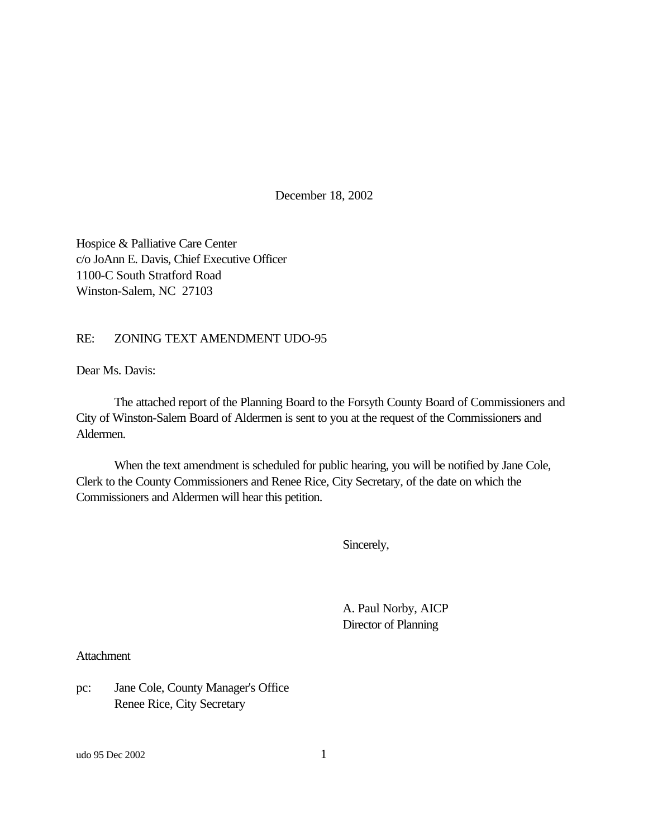December 18, 2002

Hospice & Palliative Care Center c/o JoAnn E. Davis, Chief Executive Officer 1100-C South Stratford Road Winston-Salem, NC 27103

### RE: ZONING TEXT AMENDMENT UDO-95

Dear Ms. Davis:

The attached report of the Planning Board to the Forsyth County Board of Commissioners and City of Winston-Salem Board of Aldermen is sent to you at the request of the Commissioners and Aldermen.

When the text amendment is scheduled for public hearing, you will be notified by Jane Cole, Clerk to the County Commissioners and Renee Rice, City Secretary, of the date on which the Commissioners and Aldermen will hear this petition.

Sincerely,

A. Paul Norby, AICP Director of Planning

**Attachment** 

pc: Jane Cole, County Manager's Office Renee Rice, City Secretary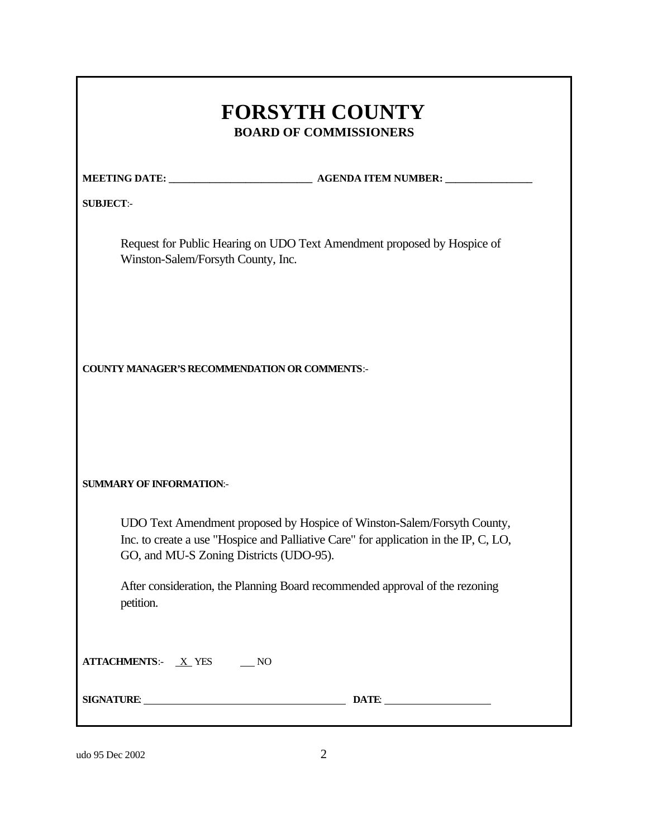| <b>FORSYTH COUNTY</b><br><b>BOARD OF COMMISSIONERS</b>     |                                                                                                                                                                 |  |
|------------------------------------------------------------|-----------------------------------------------------------------------------------------------------------------------------------------------------------------|--|
|                                                            |                                                                                                                                                                 |  |
| <b>SUBJECT:-</b>                                           |                                                                                                                                                                 |  |
| Winston-Salem/Forsyth County, Inc.                         | Request for Public Hearing on UDO Text Amendment proposed by Hospice of                                                                                         |  |
| <b>COUNTY MANAGER'S RECOMMENDATION OR COMMENTS:-</b>       |                                                                                                                                                                 |  |
| <b>SUMMARY OF INFORMATION:-</b>                            |                                                                                                                                                                 |  |
| GO, and MU-S Zoning Districts (UDO-95).                    | UDO Text Amendment proposed by Hospice of Winston-Salem/Forsyth County,<br>Inc. to create a use "Hospice and Palliative Care" for application in the IP, C, LO, |  |
| petition.                                                  | After consideration, the Planning Board recommended approval of the rezoning                                                                                    |  |
| <b>ATTACHMENTS:</b> $\underline{X}$ YES $\underline{N}$ NO |                                                                                                                                                                 |  |
| SIGNATURE.                                                 |                                                                                                                                                                 |  |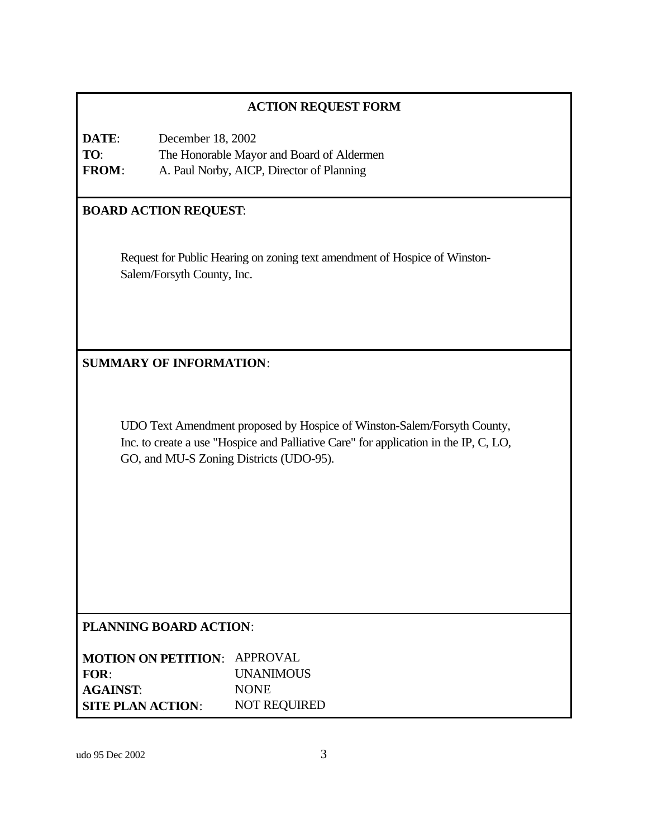### **ACTION REQUEST FORM**

**DATE**: December 18, 2002 **TO**: The Honorable Mayor and Board of Aldermen **FROM**: A. Paul Norby, AICP, Director of Planning

### **BOARD ACTION REQUEST**:

Request for Public Hearing on zoning text amendment of Hospice of Winston-Salem/Forsyth County, Inc.

## **SUMMARY OF INFORMATION**:

UDO Text Amendment proposed by Hospice of Winston-Salem/Forsyth County, Inc. to create a use "Hospice and Palliative Care" for application in the IP, C, LO, GO, and MU-S Zoning Districts (UDO-95).

## **PLANNING BOARD ACTION**:

| <b>MOTION ON PETITION: APPROVAL</b> |                     |
|-------------------------------------|---------------------|
| FOR:                                | <b>UNANIMOUS</b>    |
| <b>AGAINST:</b>                     | <b>NONE</b>         |
| <b>SITE PLAN ACTION:</b>            | <b>NOT REQUIRED</b> |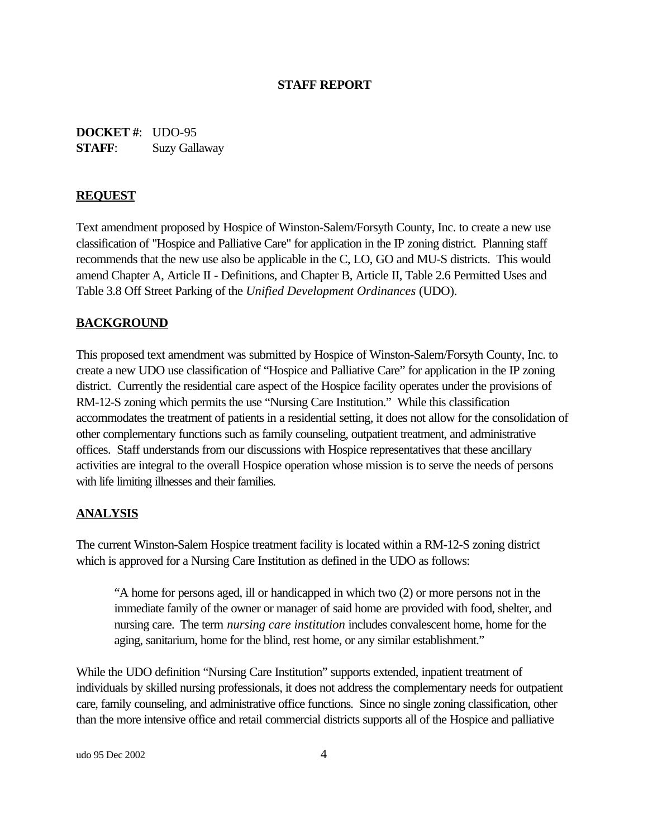#### **STAFF REPORT**

**DOCKET #**: UDO-95 **STAFF**: Suzy Gallaway

#### **REQUEST**

Text amendment proposed by Hospice of Winston-Salem/Forsyth County, Inc. to create a new use classification of "Hospice and Palliative Care" for application in the IP zoning district. Planning staff recommends that the new use also be applicable in the C, LO, GO and MU-S districts. This would amend Chapter A, Article II - Definitions, and Chapter B, Article II, Table 2.6 Permitted Uses and Table 3.8 Off Street Parking of the *Unified Development Ordinances* (UDO).

#### **BACKGROUND**

This proposed text amendment was submitted by Hospice of Winston-Salem/Forsyth County, Inc. to create a new UDO use classification of "Hospice and Palliative Care" for application in the IP zoning district. Currently the residential care aspect of the Hospice facility operates under the provisions of RM-12-S zoning which permits the use "Nursing Care Institution." While this classification accommodates the treatment of patients in a residential setting, it does not allow for the consolidation of other complementary functions such as family counseling, outpatient treatment, and administrative offices. Staff understands from our discussions with Hospice representatives that these ancillary activities are integral to the overall Hospice operation whose mission is to serve the needs of persons with life limiting illnesses and their families.

#### **ANALYSIS**

The current Winston-Salem Hospice treatment facility is located within a RM-12-S zoning district which is approved for a Nursing Care Institution as defined in the UDO as follows:

"A home for persons aged, ill or handicapped in which two (2) or more persons not in the immediate family of the owner or manager of said home are provided with food, shelter, and nursing care. The term *nursing care institution* includes convalescent home, home for the aging, sanitarium, home for the blind, rest home, or any similar establishment."

While the UDO definition "Nursing Care Institution" supports extended, inpatient treatment of individuals by skilled nursing professionals, it does not address the complementary needs for outpatient care, family counseling, and administrative office functions. Since no single zoning classification, other than the more intensive office and retail commercial districts supports all of the Hospice and palliative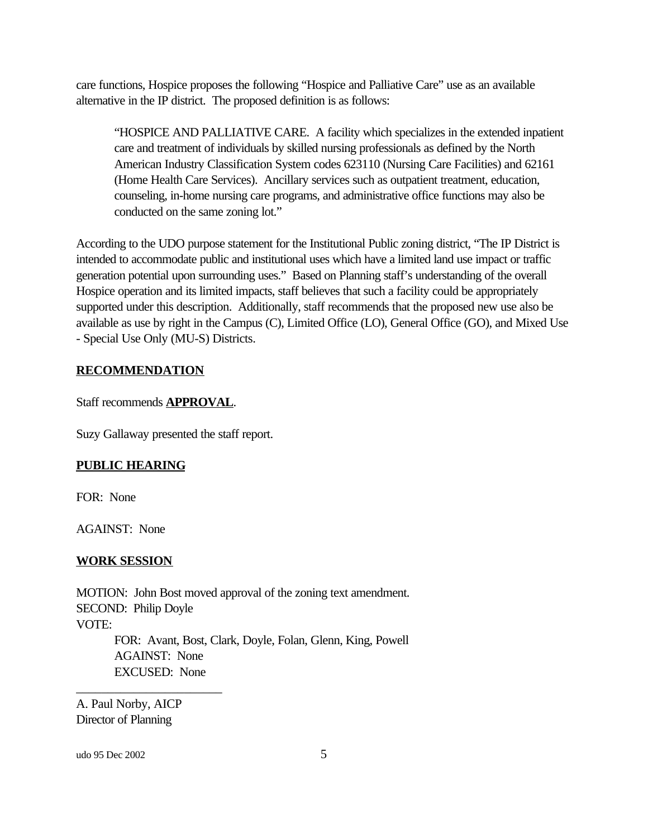care functions, Hospice proposes the following "Hospice and Palliative Care" use as an available alternative in the IP district. The proposed definition is as follows:

"HOSPICE AND PALLIATIVE CARE. A facility which specializes in the extended inpatient care and treatment of individuals by skilled nursing professionals as defined by the North American Industry Classification System codes 623110 (Nursing Care Facilities) and 62161 (Home Health Care Services). Ancillary services such as outpatient treatment, education, counseling, in-home nursing care programs, and administrative office functions may also be conducted on the same zoning lot."

According to the UDO purpose statement for the Institutional Public zoning district, "The IP District is intended to accommodate public and institutional uses which have a limited land use impact or traffic generation potential upon surrounding uses." Based on Planning staff's understanding of the overall Hospice operation and its limited impacts, staff believes that such a facility could be appropriately supported under this description. Additionally, staff recommends that the proposed new use also be available as use by right in the Campus (C), Limited Office (LO), General Office (GO), and Mixed Use - Special Use Only (MU-S) Districts.

### **RECOMMENDATION**

### Staff recommends **APPROVAL**.

Suzy Gallaway presented the staff report.

### **PUBLIC HEARING**

FOR: None

AGAINST: None

#### **WORK SESSION**

MOTION: John Bost moved approval of the zoning text amendment. SECOND: Philip Doyle VOTE: FOR: Avant, Bost, Clark, Doyle, Folan, Glenn, King, Powell AGAINST: None EXCUSED: None

A. Paul Norby, AICP Director of Planning

\_\_\_\_\_\_\_\_\_\_\_\_\_\_\_\_\_\_\_\_\_\_\_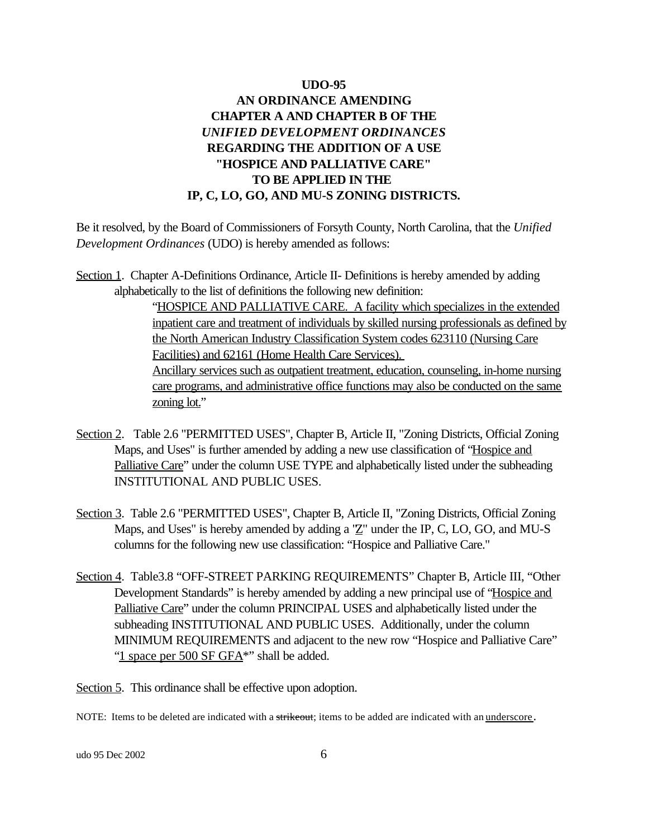Be it resolved, by the Board of Commissioners of Forsyth County, North Carolina, that the *Unified Development Ordinances* (UDO) is hereby amended as follows:

Section 1. Chapter A-Definitions Ordinance, Article II- Definitions is hereby amended by adding alphabetically to the list of definitions the following new definition:

> "HOSPICE AND PALLIATIVE CARE. A facility which specializes in the extended inpatient care and treatment of individuals by skilled nursing professionals as defined by the North American Industry Classification System codes 623110 (Nursing Care Facilities) and 62161 (Home Health Care Services). Ancillary services such as outpatient treatment, education, counseling, in-home nursing care programs, and administrative office functions may also be conducted on the same zoning lot."

- Section 2. Table 2.6 "PERMITTED USES", Chapter B, Article II, "Zoning Districts, Official Zoning Maps, and Uses" is further amended by adding a new use classification of "Hospice and Palliative Care" under the column USE TYPE and alphabetically listed under the subheading INSTITUTIONAL AND PUBLIC USES.
- Section 3. Table 2.6 "PERMITTED USES", Chapter B, Article II, "Zoning Districts, Official Zoning Maps, and Uses" is hereby amended by adding a  $Z$ " under the IP, C, LO, GO, and MU-S columns for the following new use classification: "Hospice and Palliative Care."
- Section 4. Table3.8 "OFF-STREET PARKING REQUIREMENTS" Chapter B, Article III, "Other Development Standards" is hereby amended by adding a new principal use of "Hospice and Palliative Care" under the column PRINCIPAL USES and alphabetically listed under the subheading INSTITUTIONAL AND PUBLIC USES. Additionally, under the column MINIMUM REQUIREMENTS and adjacent to the new row "Hospice and Palliative Care" "<sup>1</sup> space per 500 SF GFA<sup>\*</sup>" shall be added.

Section 5. This ordinance shall be effective upon adoption.

NOTE: Items to be deleted are indicated with a strikeout; items to be added are indicated with an underscore.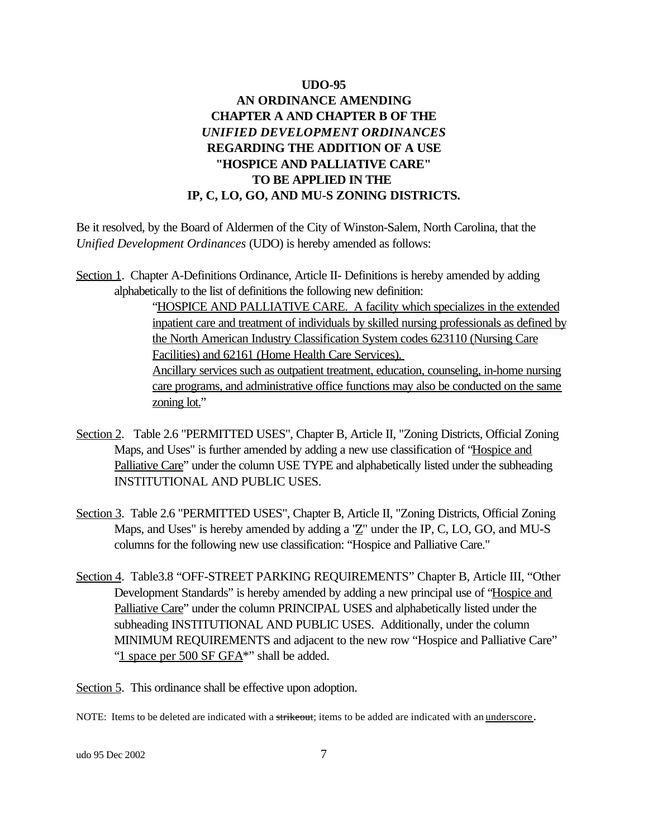Be it resolved, by the Board of Aldermen of the City of Winston-Salem, North Carolina, that the *Unified Development Ordinances* (UDO) is hereby amended as follows:

Section 1. Chapter A-Definitions Ordinance, Article II- Definitions is hereby amended by adding alphabetically to the list of definitions the following new definition:

> "HOSPICE AND PALLIATIVE CARE. A facility which specializes in the extended inpatient care and treatment of individuals by skilled nursing professionals as defined by the North American Industry Classification System codes 623110 (Nursing Care Facilities) and 62161 (Home Health Care Services). Ancillary services such as outpatient treatment, education, counseling, in-home nursing care programs, and administrative office functions may also be conducted on the same

- zoning lot."
- Section 2. Table 2.6 "PERMITTED USES", Chapter B, Article II, "Zoning Districts, Official Zoning Maps, and Uses" is further amended by adding a new use classification of "Hospice and Palliative Care" under the column USE TYPE and alphabetically listed under the subheading INSTITUTIONAL AND PUBLIC USES.
- Section 3. Table 2.6 "PERMITTED USES", Chapter B, Article II, "Zoning Districts, Official Zoning Maps, and Uses" is hereby amended by adding a  $Z$ " under the IP, C, LO, GO, and MU-S columns for the following new use classification: "Hospice and Palliative Care."
- Section 4. Table3.8 "OFF-STREET PARKING REQUIREMENTS" Chapter B, Article III, "Other Development Standards" is hereby amended by adding a new principal use of "Hospice and Palliative Care" under the column PRINCIPAL USES and alphabetically listed under the subheading INSTITUTIONAL AND PUBLIC USES. Additionally, under the column MINIMUM REQUIREMENTS and adjacent to the new row "Hospice and Palliative Care" "<sup>1</sup> space per 500 SF GFA<sup>\*</sup>" shall be added.

Section 5. This ordinance shall be effective upon adoption.

NOTE: Items to be deleted are indicated with a strikeout; items to be added are indicated with an underscore.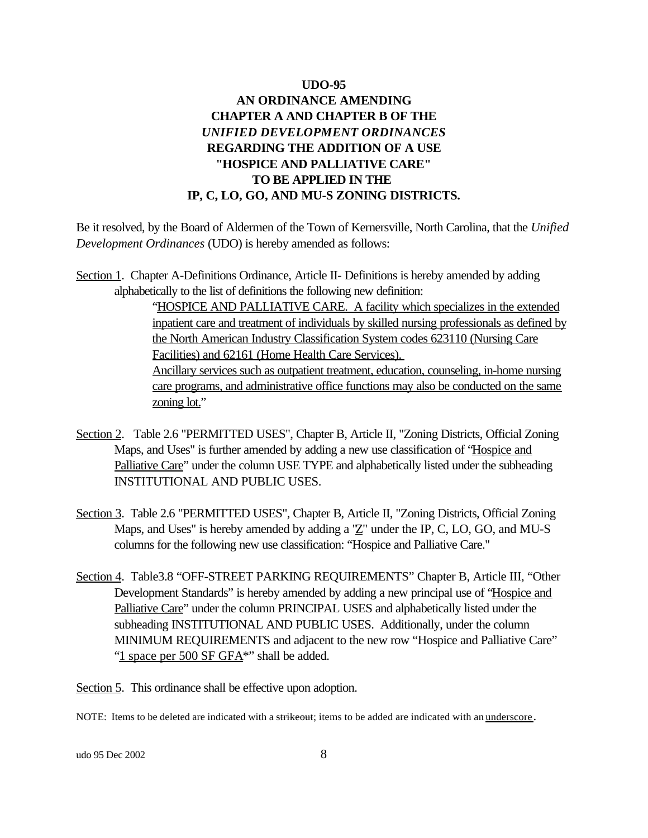Be it resolved, by the Board of Aldermen of the Town of Kernersville, North Carolina, that the *Unified Development Ordinances* (UDO) is hereby amended as follows:

Section 1. Chapter A-Definitions Ordinance, Article II- Definitions is hereby amended by adding alphabetically to the list of definitions the following new definition:

> "HOSPICE AND PALLIATIVE CARE. A facility which specializes in the extended inpatient care and treatment of individuals by skilled nursing professionals as defined by the North American Industry Classification System codes 623110 (Nursing Care Facilities) and 62161 (Home Health Care Services). Ancillary services such as outpatient treatment, education, counseling, in-home nursing care programs, and administrative office functions may also be conducted on the same zoning lot."

- Section 2. Table 2.6 "PERMITTED USES", Chapter B, Article II, "Zoning Districts, Official Zoning Maps, and Uses" is further amended by adding a new use classification of "Hospice and Palliative Care" under the column USE TYPE and alphabetically listed under the subheading INSTITUTIONAL AND PUBLIC USES.
- Section 3. Table 2.6 "PERMITTED USES", Chapter B, Article II, "Zoning Districts, Official Zoning Maps, and Uses" is hereby amended by adding a  $Z$ " under the IP, C, LO, GO, and MU-S columns for the following new use classification: "Hospice and Palliative Care."
- Section 4. Table3.8 "OFF-STREET PARKING REQUIREMENTS" Chapter B, Article III, "Other Development Standards" is hereby amended by adding a new principal use of "Hospice and Palliative Care" under the column PRINCIPAL USES and alphabetically listed under the subheading INSTITUTIONAL AND PUBLIC USES. Additionally, under the column MINIMUM REQUIREMENTS and adjacent to the new row "Hospice and Palliative Care" "<sup>1</sup> space per 500 SF GFA<sup>\*</sup>" shall be added.

Section 5. This ordinance shall be effective upon adoption.

NOTE: Items to be deleted are indicated with a strikeout; items to be added are indicated with an underscore.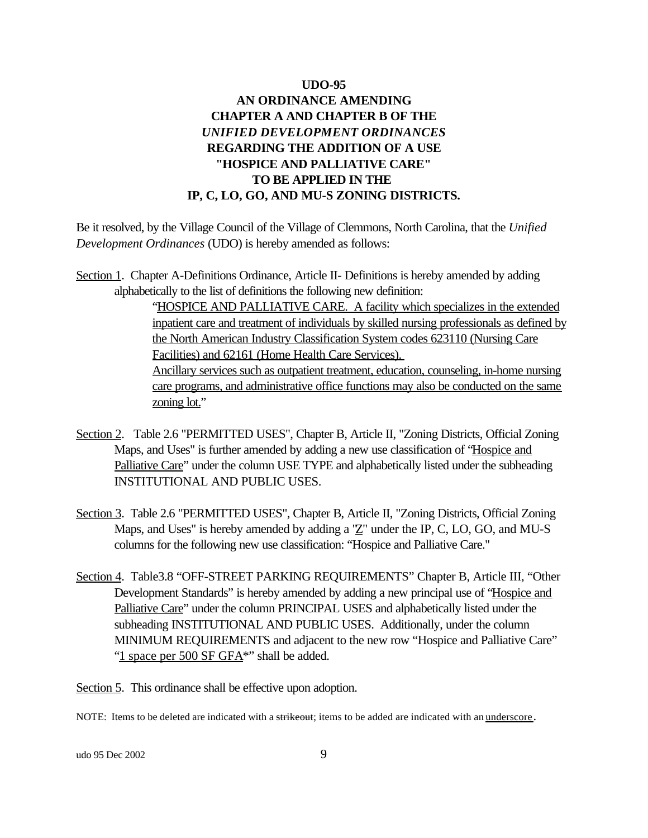Be it resolved, by the Village Council of the Village of Clemmons, North Carolina, that the *Unified Development Ordinances* (UDO) is hereby amended as follows:

Section 1. Chapter A-Definitions Ordinance, Article II- Definitions is hereby amended by adding alphabetically to the list of definitions the following new definition:

> "HOSPICE AND PALLIATIVE CARE. A facility which specializes in the extended inpatient care and treatment of individuals by skilled nursing professionals as defined by the North American Industry Classification System codes 623110 (Nursing Care Facilities) and 62161 (Home Health Care Services). Ancillary services such as outpatient treatment, education, counseling, in-home nursing care programs, and administrative office functions may also be conducted on the same zoning lot."

- Section 2. Table 2.6 "PERMITTED USES", Chapter B, Article II, "Zoning Districts, Official Zoning Maps, and Uses" is further amended by adding a new use classification of "Hospice and Palliative Care" under the column USE TYPE and alphabetically listed under the subheading INSTITUTIONAL AND PUBLIC USES.
- Section 3. Table 2.6 "PERMITTED USES", Chapter B, Article II, "Zoning Districts, Official Zoning Maps, and Uses" is hereby amended by adding a  $Z$ " under the IP, C, LO, GO, and MU-S columns for the following new use classification: "Hospice and Palliative Care."
- Section 4. Table3.8 "OFF-STREET PARKING REQUIREMENTS" Chapter B, Article III, "Other Development Standards" is hereby amended by adding a new principal use of "Hospice and Palliative Care" under the column PRINCIPAL USES and alphabetically listed under the subheading INSTITUTIONAL AND PUBLIC USES. Additionally, under the column MINIMUM REQUIREMENTS and adjacent to the new row "Hospice and Palliative Care" "<sup>1</sup> space per 500 SF GFA<sup>\*</sup>" shall be added.

Section 5. This ordinance shall be effective upon adoption.

NOTE: Items to be deleted are indicated with a strikeout; items to be added are indicated with an underscore.